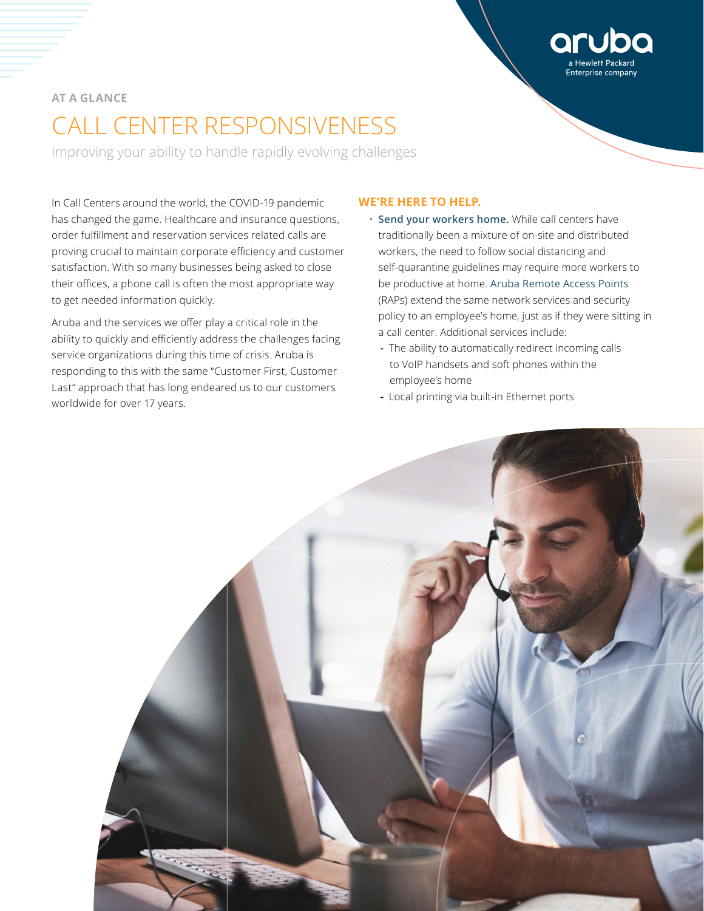# **AT A GLANCE**

# CALL CENTER RESPONSIVENESS

Improving your ability to handle rapidly evolving challenges

In Call Centers around the world, the COVID-19 pandemic has changed the game. Healthcare and insurance questions, order fulfillment and reservation services related calls are proving crucial to maintain corporate efficiency and customer satisfaction. With so many businesses being asked to close their offices, a phone call is often the most appropriate way to get needed information quickly.

Aruba and the services we offer play a critical role in the ability to quickly and efficiently address the challenges facing service organizations during this time of crisis. Aruba is responding to this with the same "Customer First, Customer Last" approach that has long endeared us to our customers worldwide for over 17 years.

# **WE'RE HERE TO HELP.**

• **Send your workers home.** While call centers have traditionally been a mixture of on-site and distributed workers, the need to follow social distancing and self-quarantine guidelines may require more workers to be productive at home. [Aruba Remote Access Points](https://www.arubanetworks.com/products/networking/remote-access-points/) (RAPs) extend the same network services and security policy to an employee's home, just as if they were sitting in a call center. Additional services include:

Enterprise company

- **-** The ability to automatically redirect incoming calls to VoIP handsets and soft phones within the employee's home
- **-** Local printing via built-in Ethernet ports